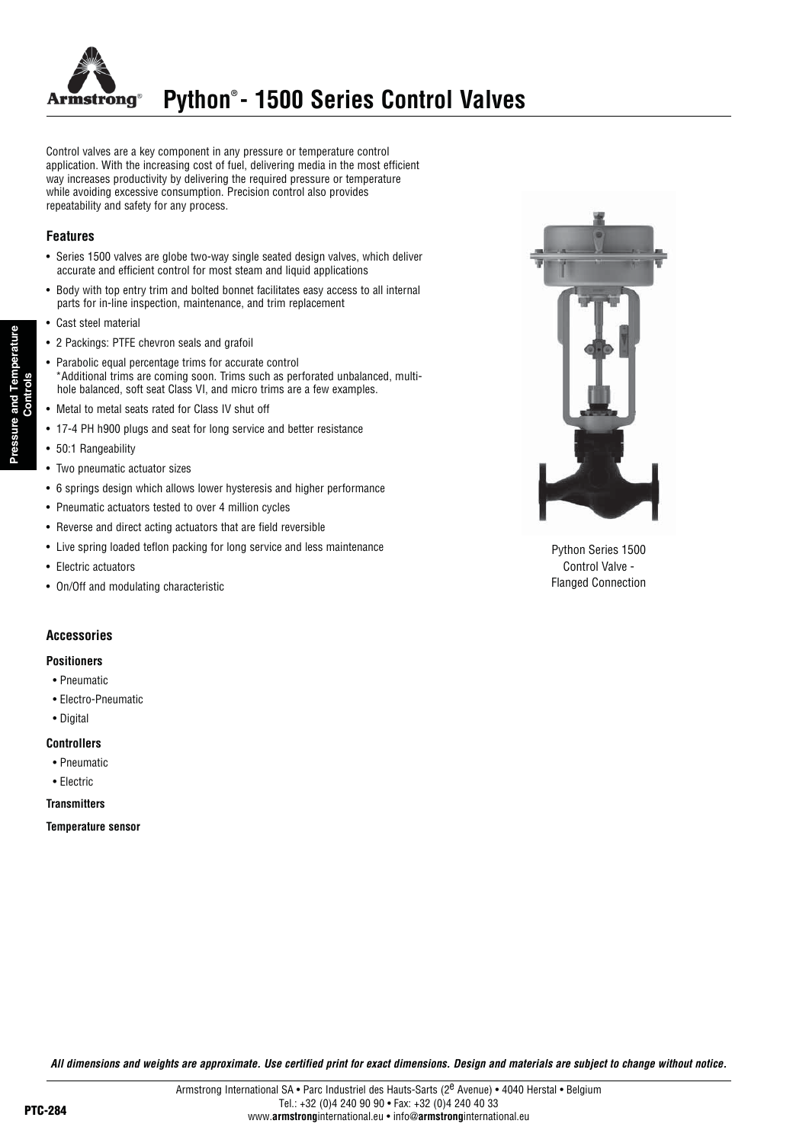

Control valves are a key component in any pressure or temperature control application. With the increasing cost of fuel, delivering media in the most efficient way increases productivity by delivering the required pressure or temperature while avoiding excessive consumption. Precision control also provides repeatability and safety for any process.

#### **Features**

Pressure and Temperature

- Series 1500 valves are globe two-way single seated design valves, which deliver accurate and efficient control for most steam and liquid applications
- Body with top entry trim and bolted bonnet facilitates easy access to all internal parts for in-line inspection, maintenance, and trim replacement
- Cast steel material
- 2 Packings: PTFE chevron seals and grafoil
- Parabolic equal percentage trims for accurate control \*Additional trims are coming soon. Trims such as perforated unbalanced, multihole balanced, soft seat Class VI, and micro trims are a few examples.
- Metal to metal seats rated for Class IV shut off
- 17-4 PH h900 plugs and seat for long service and better resistance
- 50:1 Rangeability
- Two pneumatic actuator sizes  $\bullet$
- 6 springs design which allows lower hysteresis and higher performance
- Pneumatic actuators tested to over 4 million cycles
- Reverse and direct acting actuators that are field reversible
- Live spring loaded teflon packing for long service and less maintenance
- Electric actuators
- On/Off and modulating characteristic

#### **Accessories**

#### **Positioners**

- Pneumatic
- Electro-Pneumatic
- Digital

#### **Controllers**

- Pneumatic
- Electric
- **Transmitters**

**Temperature sensor** 



Python Series 1500 Control Valve -**Flanged Connection**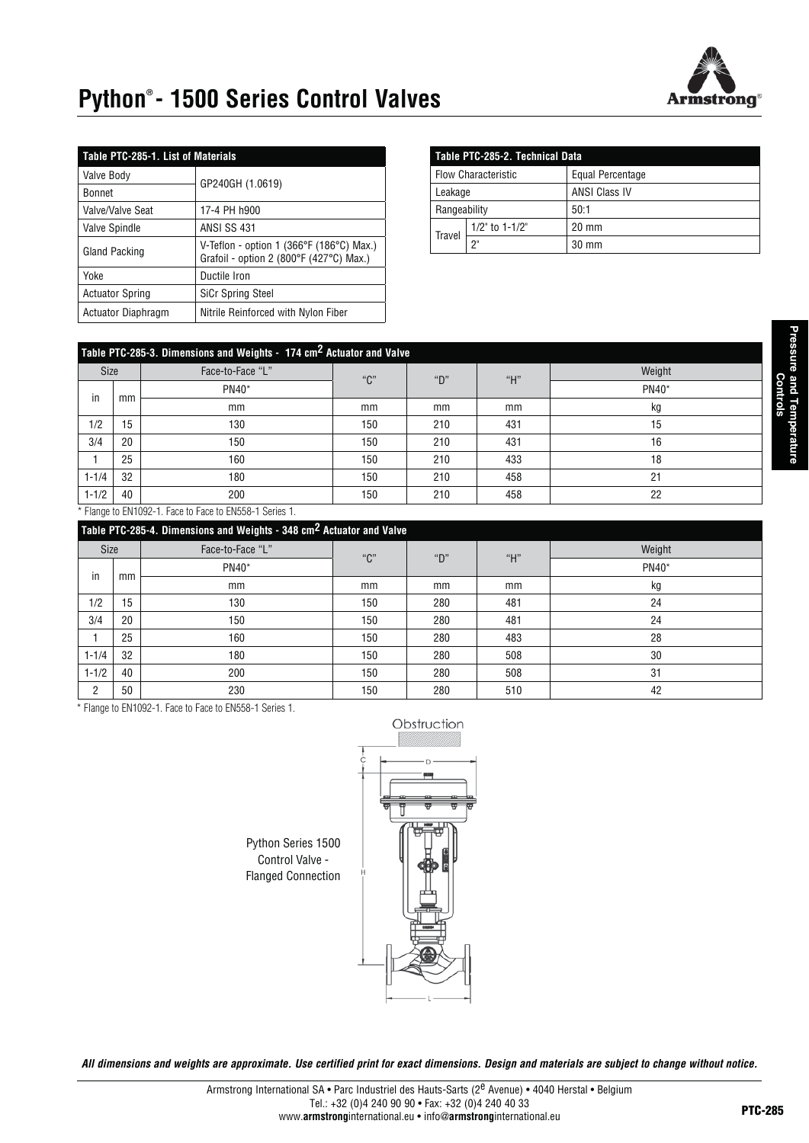

# **Python® - 1500 Series Control Valves**

| Table PTC-285-1. List of Materials |                                                                                                         |  |  |  |  |
|------------------------------------|---------------------------------------------------------------------------------------------------------|--|--|--|--|
| <b>Valve Body</b>                  | GP240GH (1.0619)                                                                                        |  |  |  |  |
| <b>Bonnet</b>                      |                                                                                                         |  |  |  |  |
| Valve/Valve Seat                   | 17-4 PH h900                                                                                            |  |  |  |  |
| <b>Valve Spindle</b>               | <b>ANSI SS 431</b>                                                                                      |  |  |  |  |
| Gland Packing                      | V-Teflon - option 1 (366 $\degree$ F (186 $\degree$ C) Max.)<br>Grafoil - option 2 (800°F (427°C) Max.) |  |  |  |  |
| Yoke                               | Ductile Iron                                                                                            |  |  |  |  |
| <b>Actuator Spring</b>             | <b>SiCr Spring Steel</b>                                                                                |  |  |  |  |
| <b>Actuator Diaphragm</b>          | Nitrile Reinforced with Nylon Fiber                                                                     |  |  |  |  |

| Table PTC-285-2. Technical Data |                      |                      |  |  |  |
|---------------------------------|----------------------|----------------------|--|--|--|
| <b>Flow Characteristic</b>      |                      | Equal Percentage     |  |  |  |
| Leakage                         |                      | <b>ANSI Class IV</b> |  |  |  |
| Rangeability                    |                      | 50:1                 |  |  |  |
| Travel                          | $1/2$ " to $1-1/2$ " | $20 \text{ mm}$      |  |  |  |
|                                 | יפ                   | 30 mm                |  |  |  |

|             | Table PTC-285-3. Dimensions and Weights - 174 cm <sup>2</sup> Actuator and Valve |                  |     |     |     |        |  |  |  |
|-------------|----------------------------------------------------------------------------------|------------------|-----|-----|-----|--------|--|--|--|
| <b>Size</b> |                                                                                  | Face-to-Face "L" | "C" | "D" | "H" | Weight |  |  |  |
| in          |                                                                                  | PN40*            |     |     |     | PN40*  |  |  |  |
|             | mm                                                                               | mm               | mm  | mm  | mm  | kg     |  |  |  |
| 1/2         | 15                                                                               | 130              | 150 | 210 | 431 | 15     |  |  |  |
| 3/4         | 20                                                                               | 150              | 150 | 210 | 431 | 16     |  |  |  |
|             | 25                                                                               | 160              | 150 | 210 | 433 | 18     |  |  |  |
| $1 - 1/4$   | 32                                                                               | 180              | 150 | 210 | 458 | 21     |  |  |  |
| $1 - 1/2$   | 40                                                                               | 200              | 150 | 210 | 458 | 22     |  |  |  |
|             |                                                                                  |                  |     |     |     |        |  |  |  |

\* Flange to EN1092-1. Face to Face to EN558-1 Series 1.

|             | Table PTC-285-4. Dimensions and Weights - 348 cm <sup>2</sup> Actuator and Valve |                  |     |     |     |        |  |  |  |
|-------------|----------------------------------------------------------------------------------|------------------|-----|-----|-----|--------|--|--|--|
| <b>Size</b> |                                                                                  | Face-to-Face "L" | "C" | "D" | "H" | Weight |  |  |  |
| in          | mm                                                                               | PN40*            |     |     |     | PN40*  |  |  |  |
|             |                                                                                  | mm               | mm  | mm  | mm  | kg     |  |  |  |
| 1/2         | 15                                                                               | 130              | 150 | 280 | 481 | 24     |  |  |  |
| 3/4         | 20                                                                               | 150              | 150 | 280 | 481 | 24     |  |  |  |
|             | 25                                                                               | 160              | 150 | 280 | 483 | 28     |  |  |  |
| $1 - 1/4$   | 32                                                                               | 180              | 150 | 280 | 508 | 30     |  |  |  |
| $1 - 1/2$   | 40                                                                               | 200              | 150 | 280 | 508 | 31     |  |  |  |
| C.          | 50                                                                               | 230              | 150 | 280 | 510 | 42     |  |  |  |

\* Flange to EN1092-1. Face to Face to EN558-1 Series 1.



Python Series 1500 Control Valve - Flanged Connection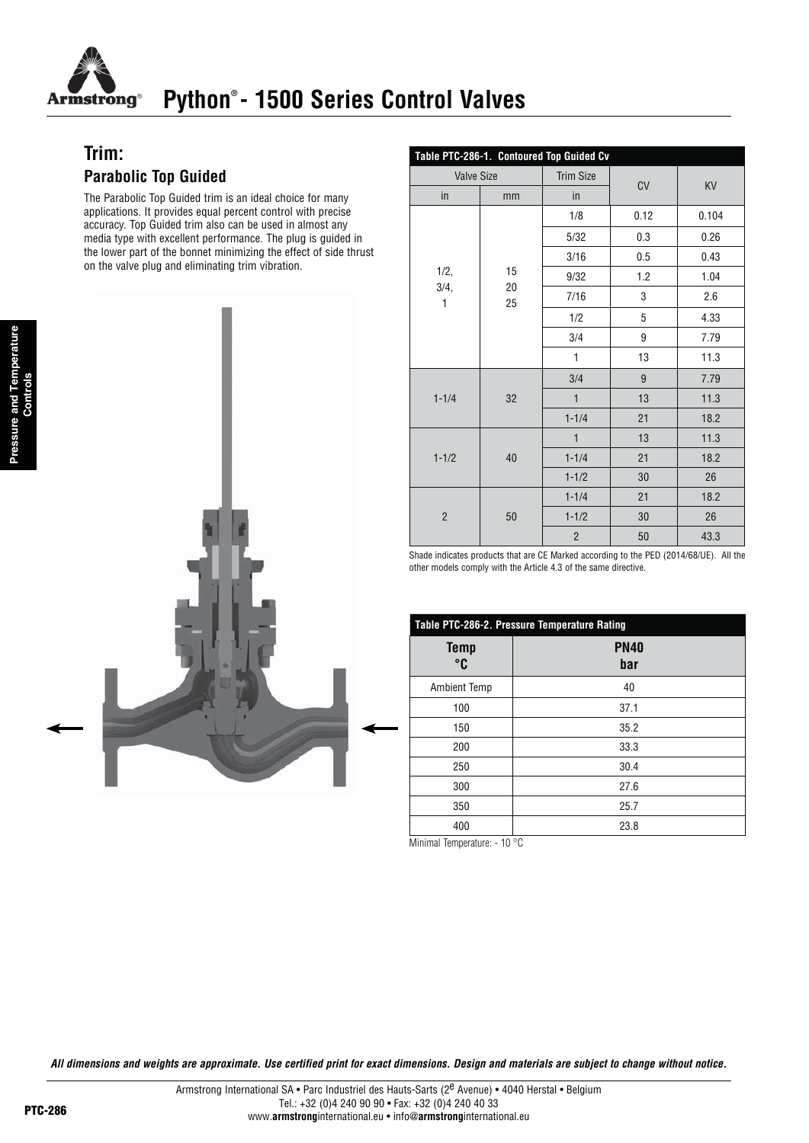

# **Python® - 1500 Series Control Valves**

# **Trim: Parabolic Top Guided**

The Parabolic Top Guided trim is an ideal choice for many applications. It provides equal percent control with precise accuracy. Top Guided trim also can be used in almost any media type with excellent performance. The plug is guided in the lower part of the bonnet minimizing the effect of side thrust on the valve plug and eliminating trim vibration.



|                   | Table PTC-286-1. Contoured Top Guided Cv |                  |      |           |  |  |  |  |
|-------------------|------------------------------------------|------------------|------|-----------|--|--|--|--|
| <b>Valve Size</b> |                                          | <b>Trim Size</b> |      |           |  |  |  |  |
| in                | mm                                       | in               | CV   | <b>KV</b> |  |  |  |  |
|                   |                                          | 1/8              | 0.12 | 0.104     |  |  |  |  |
|                   |                                          | 5/32             | 0.3  | 0.26      |  |  |  |  |
|                   |                                          | 3/16             | 0.5  | 0.43      |  |  |  |  |
| 1/2,              | 15                                       | 9/32             | 1.2  | 1.04      |  |  |  |  |
| 3/4,<br>1         | 20<br>25                                 | 7/16             | 3    | 2.6       |  |  |  |  |
|                   |                                          | 1/2              | 5    | 4.33      |  |  |  |  |
|                   |                                          | 3/4              | 9    | 7.79      |  |  |  |  |
|                   |                                          | $\mathbf{1}$     | 13   | 11.3      |  |  |  |  |
|                   |                                          | 3/4              | 9    | 7.79      |  |  |  |  |
| $1 - 1/4$         | 32                                       | $\mathbf{1}$     | 13   | 11.3      |  |  |  |  |
|                   |                                          | $1 - 1/4$        | 21   | 18.2      |  |  |  |  |
|                   |                                          | $\mathbf{1}$     | 13   | 11.3      |  |  |  |  |
| $1 - 1/2$         | 40                                       | $1 - 1/4$        | 21   | 18.2      |  |  |  |  |
|                   |                                          | $1 - 1/2$        | 30   | 26        |  |  |  |  |
|                   |                                          | $1 - 1/4$        | 21   | 18.2      |  |  |  |  |
| $\overline{2}$    | 50                                       | $1 - 1/2$        | 30   | 26        |  |  |  |  |
|                   |                                          | $\overline{2}$   | 50   | 43.3      |  |  |  |  |

Shade indicates products that are CE Marked according to the PED (2014/68/UE). All the other models comply with the Article 4.3 of the same directive.

| Table PTC-286-2. Pressure Temperature Rating |                    |  |  |  |
|----------------------------------------------|--------------------|--|--|--|
| <b>Temp</b><br>°C                            | <b>PN40</b><br>bar |  |  |  |
| <b>Ambient Temp</b>                          | 40                 |  |  |  |
| 100                                          | 37.1               |  |  |  |
| 150                                          | 35.2               |  |  |  |
| 200                                          | 33.3               |  |  |  |
| 250                                          | 30.4               |  |  |  |
| 300                                          | 27.6               |  |  |  |
| 350                                          | 25.7               |  |  |  |
| 400                                          | 23.8               |  |  |  |

Minimal Temperature: - 10 °C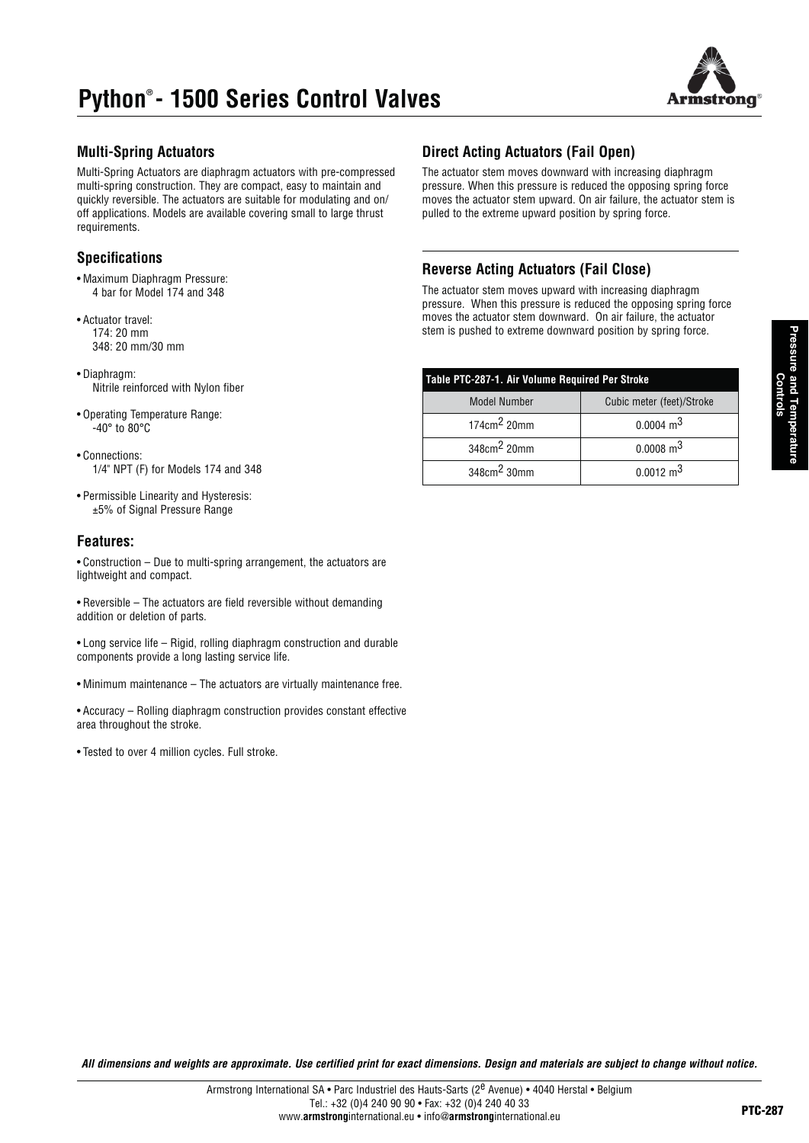# **Python® - 1500 Series Control Valves**



### **Multi-Spring Actuators**

Multi-Spring Actuators are diaphragm actuators with pre-compressed multi-spring construction. They are compact, easy to maintain and quickly reversible. The actuators are suitable for modulating and on/ off applications. Models are available covering small to large thrust requirements.

### **Specifications**

- Maximum Diaphragm Pressure: 4 bar for Model 174 and 348
- Actuator travel: 174: 20 mm 348: 20 mm/30 mm
- Diaphragm: Nitrile reinforced with Nylon fiber
- Operating Temperature Range:  $-40^\circ$  to 80 $^\circ$ C
- Connections: 1/4" NPT (F) for Models 174 and 348
- Permissible Linearity and Hysteresis: ±5% of Signal Pressure Range

### **Features:**

 $\bullet$  Construction – Due to multi-spring arrangement, the actuators are lightweight and compact.

- Reversible The actuators are field reversible without demanding addition or deletion of parts.
- Long service life Rigid, rolling diaphragm construction and durable components provide a long lasting service life.
- Minimum maintenance The actuators are virtually maintenance free.

• Accuracy – Rolling diaphragm construction provides constant effective area throughout the stroke.

• Tested to over 4 million cycles. Full stroke.

### **Direct Acting Actuators (Fail Open)**

The actuator stem moves downward with increasing diaphragm pressure. When this pressure is reduced the opposing spring force moves the actuator stem upward. On air failure, the actuator stem is pulled to the extreme upward position by spring force.

## **Reverse Acting Actuators (Fail Close)**

The actuator stem moves upward with increasing diaphragm pressure. When this pressure is reduced the opposing spring force moves the actuator stem downward. On air failure, the actuator stem is pushed to extreme downward position by spring force.

| Table PTC-287-1. Air Volume Required Per Stroke |                           |  |  |  |  |
|-------------------------------------------------|---------------------------|--|--|--|--|
| <b>Model Number</b>                             | Cubic meter (feet)/Stroke |  |  |  |  |
| $174 \text{cm}^2$ 20mm                          | $0.0004 \text{ m}^3$      |  |  |  |  |
| 348cm <sup>2</sup> 20mm                         | $0.0008$ m <sup>3</sup>   |  |  |  |  |
| 348cm <sup>2</sup> 30mm                         | $0.0012 \text{ m}^3$      |  |  |  |  |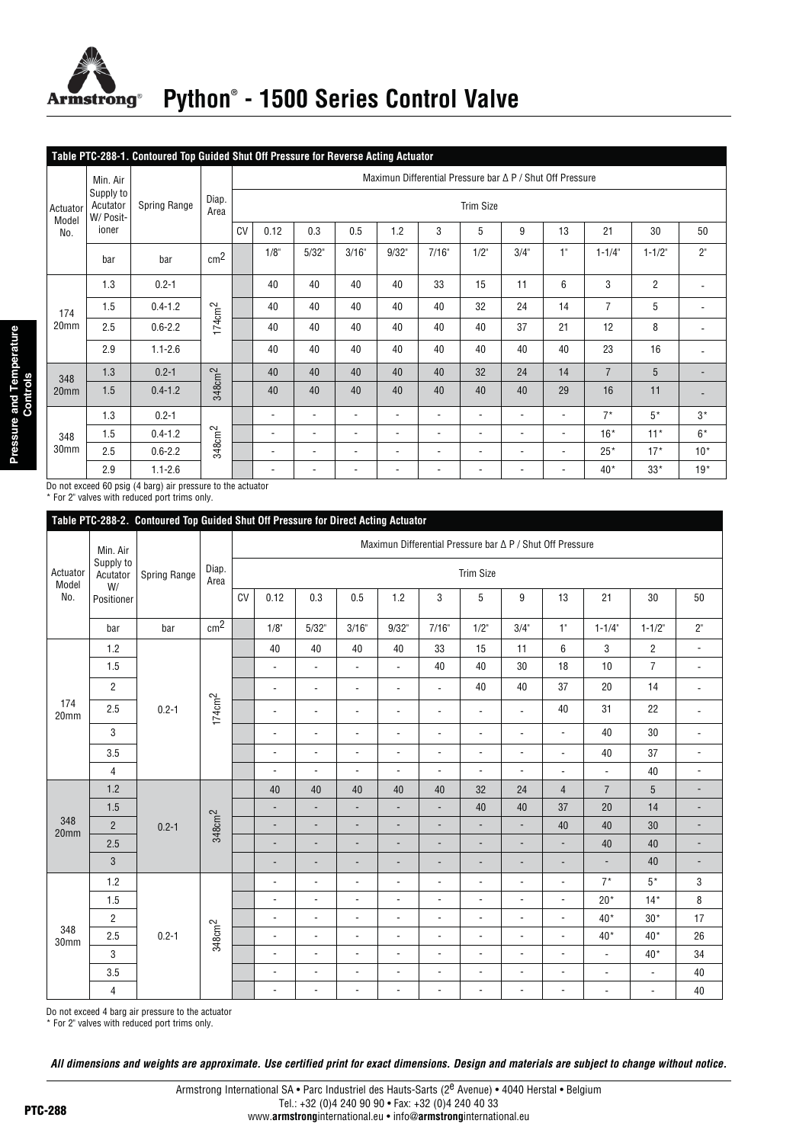

# Python<sup>®</sup> - 1500 Series Control Valve

|                   | Table PTC-288-1. Contoured Top Guided Shut Off Pressure for Reverse Acting Actuator |              |                    |                                                           |                          |                          |                          |                          |                          |                          |                          |                          |                |                |                          |
|-------------------|-------------------------------------------------------------------------------------|--------------|--------------------|-----------------------------------------------------------|--------------------------|--------------------------|--------------------------|--------------------------|--------------------------|--------------------------|--------------------------|--------------------------|----------------|----------------|--------------------------|
|                   | Min. Air                                                                            |              |                    | Maximun Differential Pressure bar ∆ P / Shut Off Pressure |                          |                          |                          |                          |                          |                          |                          |                          |                |                |                          |
| Actuator<br>Model | Supply to<br>Acutator<br>W/ Posit-                                                  | Spring Range | Diap.<br>Area      |                                                           | <b>Trim Size</b>         |                          |                          |                          |                          |                          |                          |                          |                |                |                          |
| No.               | ioner                                                                               |              |                    | CV                                                        | 0.12                     | 0.3                      | 0.5                      | 1.2                      | 3                        | 5                        | 9                        | 13                       | 21             | 30             | 50                       |
|                   | bar                                                                                 | bar          | cm <sup>2</sup>    |                                                           | 1/8"                     | 5/32"                    | 3/16"                    | 9/32"                    | 7/16"                    | $1/2$ "                  | 3/4"                     | 1"                       | $1 - 1/4$ "    | $1 - 1/2"$     | 2"                       |
|                   | 1.3                                                                                 | $0.2 - 1$    |                    |                                                           | 40                       | 40                       | 40                       | 40                       | 33                       | 15                       | 11                       | 6                        | 3              | $\overline{2}$ |                          |
| 174               | 1.5                                                                                 | $0.4 - 1.2$  |                    |                                                           | 40                       | 40                       | 40                       | 40                       | 40                       | 32                       | 24                       | 14                       | $\overline{7}$ | 5              |                          |
| 20mm              | 2.5                                                                                 | $0.6 - 2.2$  | 174cm <sup>2</sup> |                                                           | 40                       | 40                       | 40                       | 40                       | 40                       | 40                       | 37                       | 21                       | 12             | 8              | $\overline{\phantom{a}}$ |
|                   | 2.9                                                                                 | $1.1 - 2.6$  |                    |                                                           | 40                       | 40                       | 40                       | 40                       | 40                       | 40                       | 40                       | 40                       | 23             | 16             |                          |
| 348               | 1.3                                                                                 | $0.2 - 1$    |                    |                                                           | 40                       | 40                       | 40                       | 40                       | 40                       | 32                       | 24                       | 14                       | $\overline{7}$ | 5              |                          |
| 20 <sub>mm</sub>  | 1.5                                                                                 | $0.4 - 1.2$  | 348cm <sup>2</sup> |                                                           | 40                       | 40                       | 40                       | 40                       | 40                       | 40                       | 40                       | 29                       | 16             | 11             |                          |
|                   | 1.3                                                                                 | $0.2 - 1$    |                    |                                                           | $\overline{\phantom{a}}$ | $\overline{\phantom{a}}$ | $\overline{\phantom{a}}$ | $\overline{\phantom{0}}$ | $\overline{\phantom{a}}$ | $\overline{\phantom{a}}$ | $\overline{\phantom{a}}$ | $\overline{\phantom{a}}$ | $7^*$          | $5*$           | $3^*$                    |
| 348               | 1.5                                                                                 | $0.4 - 1.2$  | 348cm <sup>2</sup> |                                                           | $\overline{\phantom{a}}$ | $\overline{\phantom{a}}$ | $\blacksquare$           | $\blacksquare$           | $\overline{\phantom{a}}$ | $\overline{\phantom{a}}$ | $\overline{\phantom{a}}$ | $\overline{\phantom{a}}$ | $16*$          | $11*$          | $6*$                     |
| 30mm              | 2.5                                                                                 | $0.6 - 2.2$  |                    |                                                           | $\blacksquare$           | $\overline{\phantom{a}}$ | $\overline{\phantom{a}}$ | $\overline{\phantom{a}}$ | $\overline{\phantom{a}}$ | $\overline{\phantom{a}}$ | $\overline{\phantom{a}}$ | $\overline{\phantom{a}}$ | $25*$          | $17*$          | $10*$                    |
|                   | 2.9                                                                                 | $1.1 - 2.6$  |                    |                                                           | $\overline{\phantom{a}}$ | $\overline{\phantom{a}}$ | $\overline{\phantom{a}}$ | -                        | $\overline{\phantom{a}}$ | $\overline{\phantom{a}}$ | $\overline{\phantom{a}}$ | ٠                        | $40*$          | $33*$          | $19*$                    |

Do not exceed 60 psig (4 barg) air pressure to the actuator<br>\* For 2" valves with reduced port trims only.

|                         | Table PTC-288-2. Contoured Top Guided Shut Off Pressure for Direct Acting Actuator |              |                    |                                                           |                              |                          |                          |                          |                          |                          |                          |                          |                          |                          |                          |                          |                          |                          |                          |                |   |                |    |    |  |
|-------------------------|------------------------------------------------------------------------------------|--------------|--------------------|-----------------------------------------------------------|------------------------------|--------------------------|--------------------------|--------------------------|--------------------------|--------------------------|--------------------------|--------------------------|--------------------------|--------------------------|--------------------------|--------------------------|--------------------------|--------------------------|--------------------------|----------------|---|----------------|----|----|--|
|                         | Min. Air                                                                           |              |                    | Maximun Differential Pressure bar ∆ P / Shut Off Pressure |                              |                          |                          |                          |                          |                          |                          |                          |                          |                          |                          |                          |                          |                          |                          |                |   |                |    |    |  |
| Actuator<br>Model       | Supply to<br>Acutator<br>W/                                                        | Spring Range | Diap.<br>Area      |                                                           | <b>Trim Size</b>             |                          |                          |                          |                          |                          |                          |                          |                          |                          |                          |                          |                          |                          |                          |                |   |                |    |    |  |
| No.                     | Positioner                                                                         |              |                    | CV                                                        | 0.12                         | 0.3                      | 0.5                      | 1.2                      | 3                        | 5                        | 9                        | 13                       | 21                       | 30                       | 50                       |                          |                          |                          |                          |                |   |                |    |    |  |
|                         | bar                                                                                | bar          | cm <sup>2</sup>    |                                                           | $1/8$ "                      | 5/32"                    | 3/16"                    | 9/32"                    | 7/16"                    | $1/2$ "                  | 3/4"                     | 1"                       | $1 - 1/4$                | $1 - 1/2$                | $2"$                     |                          |                          |                          |                          |                |   |                |    |    |  |
|                         | 1.2                                                                                |              |                    |                                                           | 40                           | 40                       | 40                       | 40                       | 33                       | 15                       | 11                       | 6                        | $\sqrt{3}$               | $\overline{c}$           | $\overline{\phantom{a}}$ |                          |                          |                          |                          |                |   |                |    |    |  |
|                         | 1.5                                                                                |              |                    |                                                           | $\overline{\phantom{a}}$     | $\overline{\phantom{a}}$ | $\overline{\phantom{a}}$ | $\blacksquare$           | 40                       | 40                       | 30                       | 18                       | 10                       | $\overline{7}$           | $\overline{\phantom{a}}$ |                          |                          |                          |                          |                |   |                |    |    |  |
|                         | $\overline{2}$                                                                     |              |                    |                                                           | $\overline{\phantom{a}}$     | $\overline{\phantom{a}}$ | $\overline{\phantom{a}}$ | $\overline{\phantom{a}}$ | $\overline{a}$           | 40                       | 40                       | 37                       | 20                       | 14                       | $\overline{\phantom{a}}$ |                          |                          |                          |                          |                |   |                |    |    |  |
| 174<br>20mm             | 2.5                                                                                | $0.2 - 1$    | 174cm <sup>2</sup> |                                                           | $\overline{\phantom{a}}$     | $\overline{\phantom{a}}$ | $\overline{\phantom{a}}$ | $\overline{\phantom{a}}$ | $\overline{\phantom{a}}$ | $\overline{\phantom{a}}$ | $\overline{\phantom{a}}$ | 40                       | 31                       | 22                       | $\overline{\phantom{a}}$ |                          |                          |                          |                          |                |   |                |    |    |  |
|                         | 3                                                                                  |              |                    |                                                           | $\overline{\phantom{a}}$     | $\overline{\phantom{a}}$ | $\overline{\phantom{a}}$ | $\blacksquare$           | $\overline{\phantom{a}}$ | $\overline{\phantom{a}}$ | $\overline{\phantom{a}}$ | $\overline{\phantom{0}}$ | 40                       | 30                       | $\overline{\phantom{a}}$ |                          |                          |                          |                          |                |   |                |    |    |  |
|                         | 3.5                                                                                |              |                    |                                                           | $\overline{\phantom{a}}$     | $\overline{\phantom{a}}$ | $\overline{\phantom{a}}$ | $\overline{\phantom{a}}$ | $\overline{\phantom{a}}$ | $\overline{a}$           | $\overline{\phantom{a}}$ | $\overline{\phantom{a}}$ | 40                       | 37                       | $\overline{\phantom{a}}$ |                          |                          |                          |                          |                |   |                |    |    |  |
|                         | $\overline{4}$                                                                     |              |                    |                                                           | ÷,                           | ÷,                       | $\overline{\phantom{a}}$ | $\blacksquare$           | $\overline{\phantom{a}}$ | $\overline{\phantom{a}}$ | ÷                        | $\overline{\phantom{a}}$ | $\blacksquare$           | 40                       | $\overline{\phantom{a}}$ |                          |                          |                          |                          |                |   |                |    |    |  |
|                         | 1.2                                                                                |              |                    |                                                           | 40                           | 40                       | 40                       | 40                       | 40                       | 32                       | 24                       | $\overline{4}$           | $\overline{7}$           | $5\phantom{.0}$          | -                        |                          |                          |                          |                          |                |   |                |    |    |  |
|                         | 1.5                                                                                |              |                    |                                                           | $\overline{\phantom{a}}$     | $\overline{\phantom{m}}$ | $\blacksquare$           | $\overline{\phantom{a}}$ | $\blacksquare$           | 40                       | 40                       | 37                       | 20                       | 14                       | $\overline{\phantom{a}}$ |                          |                          |                          |                          |                |   |                |    |    |  |
| 348<br>20 <sub>mm</sub> | $\overline{2}$                                                                     | $0.2 - 1$    | 348cm <sup>2</sup> |                                                           | $\overline{\phantom{a}}$     | $\overline{\phantom{a}}$ | $\overline{\phantom{a}}$ | $\blacksquare$           | $\overline{\phantom{a}}$ | $\blacksquare$           | $\overline{\phantom{a}}$ | 40                       | 40                       | 30                       | $\overline{\phantom{a}}$ |                          |                          |                          |                          |                |   |                |    |    |  |
|                         | 2.5                                                                                |              |                    |                                                           |                              |                          |                          |                          |                          |                          |                          |                          |                          |                          | $\overline{a}$           | $\overline{\phantom{a}}$ | $\overline{\phantom{a}}$ | $\overline{\phantom{a}}$ | $\overline{\phantom{a}}$ | $\overline{a}$ | - | $\overline{a}$ | 40 | 40 |  |
|                         | 3                                                                                  |              |                    |                                                           | $\qquad \qquad \blacksquare$ | $\overline{\phantom{a}}$ | $\overline{\phantom{a}}$ | $\overline{\phantom{a}}$ | $\overline{\phantom{a}}$ | $\overline{\phantom{0}}$ |                          | $\overline{\phantom{m}}$ | $\overline{\phantom{a}}$ | 40                       | $\overline{\phantom{0}}$ |                          |                          |                          |                          |                |   |                |    |    |  |
|                         | 1.2                                                                                |              |                    |                                                           | ÷,                           |                          | $\overline{\phantom{a}}$ | $\overline{a}$           | $\overline{\phantom{a}}$ | Ĭ.                       | ÷,                       | $\overline{a}$           | $7^*$                    | $5*$                     | 3                        |                          |                          |                          |                          |                |   |                |    |    |  |
|                         | 1.5                                                                                |              |                    |                                                           | $\overline{\phantom{a}}$     | $\overline{\phantom{a}}$ | $\overline{\phantom{a}}$ | $\blacksquare$           | $\overline{a}$           | $\overline{\phantom{a}}$ | $\blacksquare$           | $\overline{\phantom{a}}$ | $20*$                    | $14*$                    | 8                        |                          |                          |                          |                          |                |   |                |    |    |  |
|                         | $\overline{2}$                                                                     |              |                    |                                                           | $\blacksquare$               | $\overline{\phantom{a}}$ | $\overline{\phantom{a}}$ | $\blacksquare$           | $\overline{\phantom{a}}$ | $\overline{\phantom{a}}$ | $\overline{\phantom{a}}$ | ÷,                       | $40*$                    | $30*$                    | 17                       |                          |                          |                          |                          |                |   |                |    |    |  |
| 348<br>30mm             | 2.5                                                                                | $0.2 - 1$    | 348cm <sup>2</sup> |                                                           | ÷                            | ÷,                       | $\overline{\phantom{m}}$ | $\overline{\phantom{a}}$ | $\overline{\phantom{a}}$ | $\overline{a}$           | $\overline{\phantom{a}}$ | $\overline{\phantom{a}}$ | $40*$                    | $40*$                    | 26                       |                          |                          |                          |                          |                |   |                |    |    |  |
|                         | 3                                                                                  |              |                    |                                                           | $\overline{\phantom{a}}$     | ÷,                       | $\overline{\phantom{a}}$ | $\blacksquare$           | $\blacksquare$           | ÷,                       | $\overline{\phantom{a}}$ | $\overline{a}$           | $\overline{\phantom{a}}$ | $40*$                    | 34                       |                          |                          |                          |                          |                |   |                |    |    |  |
|                         | 3.5                                                                                |              |                    |                                                           | ÷,                           | $\overline{\phantom{a}}$ | $\overline{\phantom{a}}$ | $\overline{\phantom{a}}$ | $\overline{a}$           | ÷,                       | $\overline{\phantom{a}}$ | $\overline{\phantom{0}}$ | $\overline{\phantom{a}}$ | $\blacksquare$           | 40                       |                          |                          |                          |                          |                |   |                |    |    |  |
|                         | $\overline{4}$                                                                     |              |                    |                                                           | $\overline{\phantom{a}}$     | $\overline{\phantom{a}}$ | $\overline{\phantom{a}}$ | $\overline{\phantom{a}}$ | $\overline{\phantom{a}}$ | $\overline{\phantom{a}}$ | $\overline{\phantom{a}}$ | $\overline{\phantom{a}}$ | $\overline{\phantom{a}}$ | $\overline{\phantom{a}}$ | 40                       |                          |                          |                          |                          |                |   |                |    |    |  |

Do not exceed 4 barg air pressure to the actuator  $*$  For  $2"$  valves with reduced port trims only.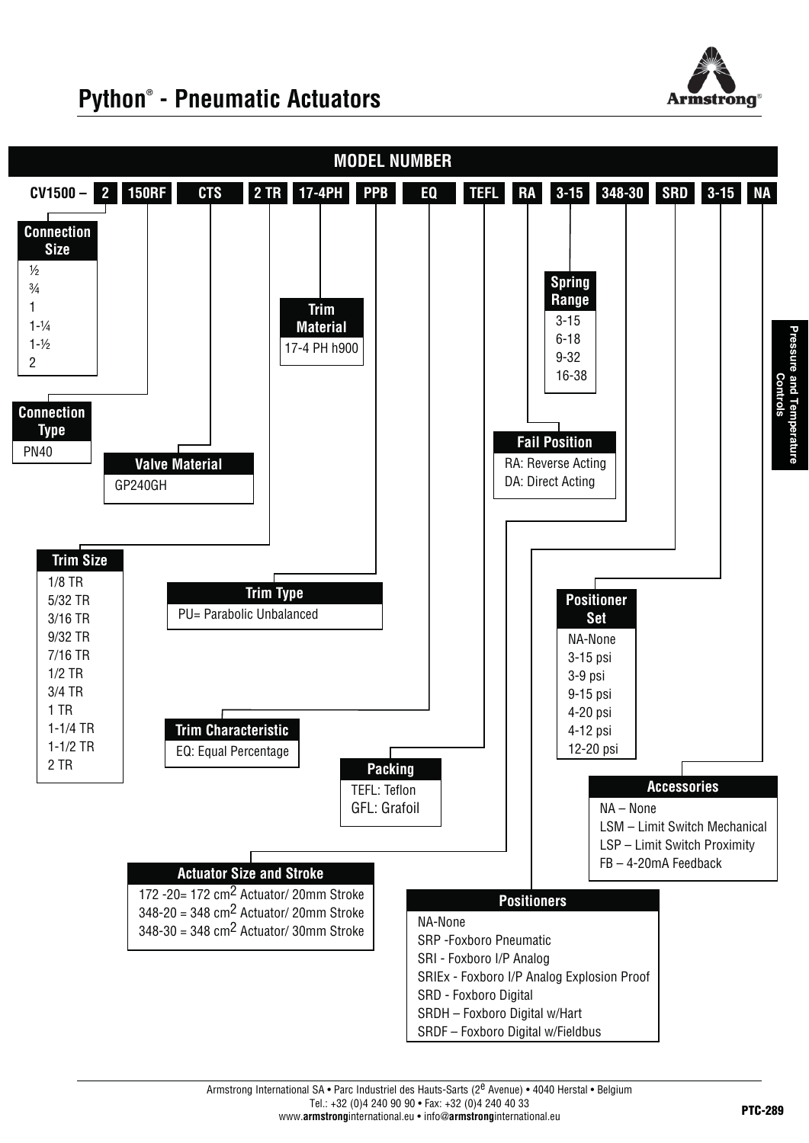

# **Python® - Pneumatic Actuators**

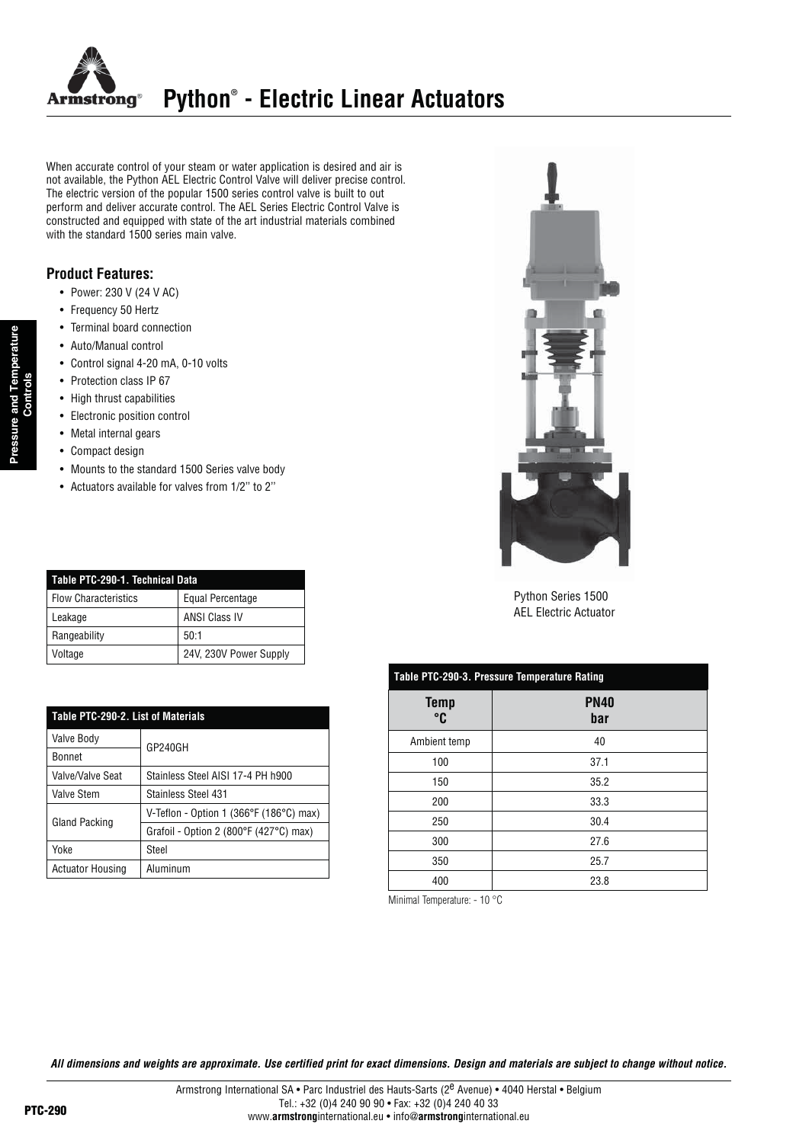

When accurate control of your steam or water application is desired and air is not available, the Python AEL Electric Control Valve will deliver precise control. The electric version of the popular 1500 series control valve is built to out perform and deliver accurate control. The AEL Series Electric Control Valve is constructed and equipped with state of the art industrial materials combined with the standard 1500 series main valve.

### **Product Features:**

- Power: 230 V (24 V AC)
- Frequency 50 Hertz
- Terminal board connection
- Auto/Manual control
- Control signal 4-20 mA, 0-10 volts
- Protection class IP 67
- High thrust capabilities
- Electronic position control
- Metal internal gears
- Compact design

**Pressure and Temperature Controls**

and Temperature

- Mounts to the standard 1500 Series valve body
- Actuators available for valves from 1/2" to 2"

| Table PTC-290-1. Technical Data |                         |  |  |  |  |  |
|---------------------------------|-------------------------|--|--|--|--|--|
| <b>Flow Characteristics</b>     | <b>Equal Percentage</b> |  |  |  |  |  |
| Leakage                         | <b>ANSI Class IV</b>    |  |  |  |  |  |
| Rangeability                    | 50:1                    |  |  |  |  |  |
| Voltage                         | 24V, 230V Power Supply  |  |  |  |  |  |

| Table PTC-290-2. List of Materials |                                         |  |  |  |  |
|------------------------------------|-----------------------------------------|--|--|--|--|
| Valve Body                         | GP240GH                                 |  |  |  |  |
| <b>Bonnet</b>                      |                                         |  |  |  |  |
| Valve/Valve Seat                   | Stainless Steel AISI 17-4 PH h900       |  |  |  |  |
| Valve Stem                         | <b>Stainless Steel 431</b>              |  |  |  |  |
| Gland Packing                      | V-Teflon - Option 1 (366°F (186°C) max) |  |  |  |  |
|                                    | Grafoil - Option 2 (800°F (427°C) max)  |  |  |  |  |
| Yoke                               | Steel                                   |  |  |  |  |
| <b>Actuator Housing</b>            | Aluminum                                |  |  |  |  |



Python Series 1500 AEL Electric Actuator

### **Table PTC-290-3. Pressure Temperature Rating**

| <b>Temp</b><br>°C | <b>PN40</b><br>bar |
|-------------------|--------------------|
| Ambient temp      | 40                 |
| 100               | 37.1               |
| 150               | 35.2               |
| 200               | 33.3               |
| 250               | 30.4               |
| 300               | 27.6               |
| 350               | 25.7               |
| 400               | 23.8               |

Minimal Temperature: - 10 °C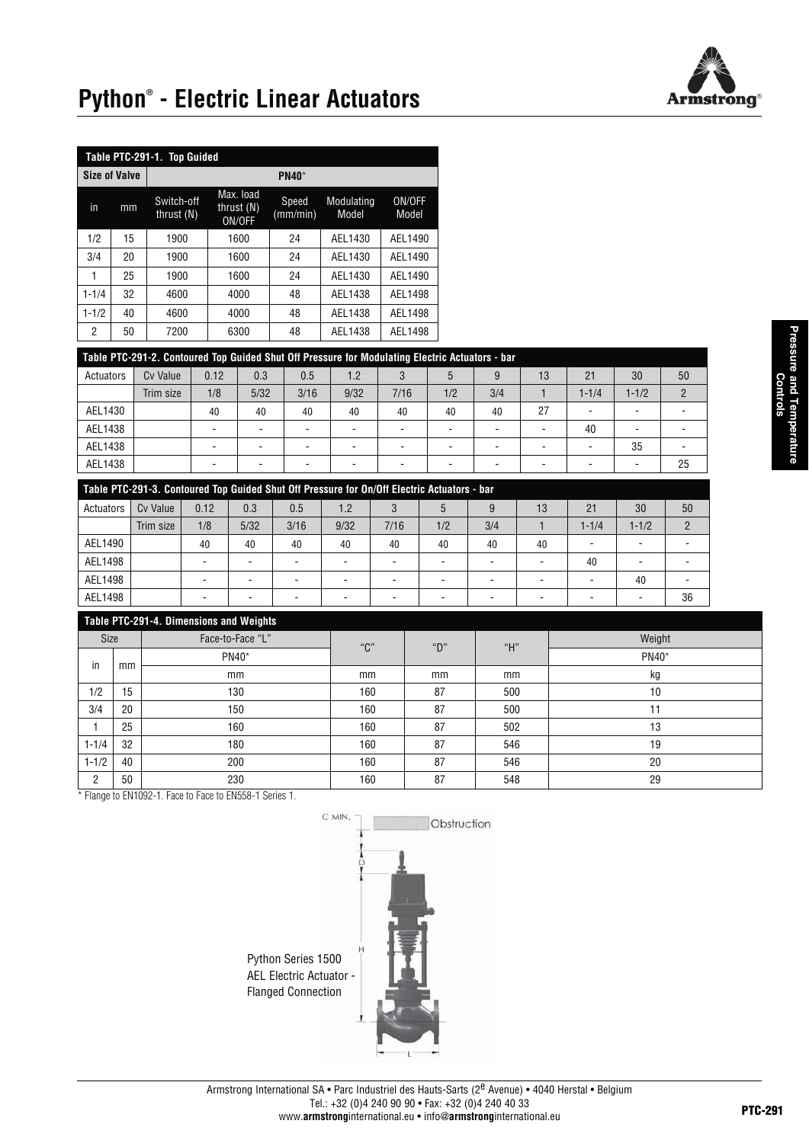

# **Python® - Electric Linear Actuators**

| Table PTC-291-1. Top Guided |                      |                            |                                     |                   |                     |                 |  |  |  |  |
|-----------------------------|----------------------|----------------------------|-------------------------------------|-------------------|---------------------|-----------------|--|--|--|--|
|                             | <b>Size of Valve</b> | $PM40*$                    |                                     |                   |                     |                 |  |  |  |  |
| in                          | mm                   | Switch-off<br>thrust $(N)$ | Max. load<br>thrust $(N)$<br>ON/OFF | Speed<br>(mm/min) | Modulating<br>Model | ON/OFF<br>Model |  |  |  |  |
| 1/2                         | 15                   | 1900                       | 1600                                | 24                | AEL1430             | AEL1490         |  |  |  |  |
| 3/4                         | 20                   | 1900                       | 1600                                | 24                | AEL1430             | AEL1490         |  |  |  |  |
| 1                           | 25                   | 1900                       | 1600                                | 24                | AEL1430             | AEL1490         |  |  |  |  |
| $1 - 1/4$                   | 32                   | 4600                       | 4000                                | 48                | AEL1438             | AEL1498         |  |  |  |  |
| $1 - 1/2$                   | 40                   | 4600                       | 4000                                | 48                | AEL1438             | AEL1498         |  |  |  |  |
| 2                           | 50                   | 7200                       | 6300                                | 48                | AEL1438             | AEL1498         |  |  |  |  |

### **Table PTC-291-2. Contoured Top Guided Shut Off Pressure for Modulating Electric Actuators - bar**

| Actuators | <b>Cv Value</b> | 0.12                     | 0.3  | 0.5                      | 1.2  |      | C   | 9   | 13 | 21        | 30        | 50 |
|-----------|-----------------|--------------------------|------|--------------------------|------|------|-----|-----|----|-----------|-----------|----|
|           | Trim size       | 1/8                      | 5/32 | 3/16                     | 9/32 | 7/16 | 1/2 | 3/4 |    | $1 - 1/4$ | $1 - 1/2$ |    |
| AEL1430   |                 | 40                       | 40   | 40                       | 40   | 40   | 40  | 40  | 27 |           |           |    |
| AEL1438   |                 | $\overline{\phantom{a}}$ |      | -                        |      |      | -   |     |    | 40        |           |    |
| AEL1438   |                 | $\overline{\phantom{a}}$ |      | $\overline{\phantom{a}}$ | -    |      |     |     | -  |           | 35        |    |
| AEL1438   |                 | $\overline{\phantom{0}}$ |      |                          |      |      | -   |     | -  |           |           | 25 |

| Table PTC-291-3. Contoured Top Guided Shut Off Pressure for On/Off Electric Actuators - bar |           |      |                          |      |      |                          |     |     |    |           |           |               |
|---------------------------------------------------------------------------------------------|-----------|------|--------------------------|------|------|--------------------------|-----|-----|----|-----------|-----------|---------------|
| Actuators                                                                                   | Cy Value  | 0.12 | 0.3                      | 0.5  | 1.2  |                          |     |     | 13 | 21        | 30        | 50            |
|                                                                                             | Trim size | 1/8  | 5/32                     | 3/16 | 9/32 | 7/16                     | 1/2 | 3/4 |    | $1 - 1/4$ | $1 - 1/2$ | $\mathcal{P}$ |
| AEL1490                                                                                     |           | 40   | 40                       | 40   | 40   | 40                       | 40  | 40  | 40 | -         |           |               |
| AEL1498                                                                                     |           |      | -                        |      |      | $\overline{\phantom{a}}$ |     |     |    | 40        |           |               |
| AEL1498                                                                                     |           | -    | $\overline{\phantom{a}}$ |      |      | $\overline{\phantom{a}}$ |     |     | -  |           | 40        |               |
| AEL1498                                                                                     |           | -    | -                        |      |      | $\overline{\phantom{a}}$ |     |     |    | -         |           | 36            |

### **Table PTC-291-4. Dimensions and Weights**

| rapic TTO-231-4. Difficiisions and weights |    |       |     |     |        |       |  |  |  |  |
|--------------------------------------------|----|-------|-----|-----|--------|-------|--|--|--|--|
| Face-to-Face "L"<br>Size                   |    | "C"   | "D" | "H" | Weight |       |  |  |  |  |
| in                                         |    | PN40* |     |     |        | PN40* |  |  |  |  |
|                                            | mm | mm    | mm  | mm  | mm     | kg    |  |  |  |  |
| 1/2                                        | 15 | 130   | 160 | 87  | 500    | 10    |  |  |  |  |
| 3/4                                        | 20 | 150   | 160 | 87  | 500    | 11    |  |  |  |  |
|                                            | 25 | 160   | 160 | 87  | 502    | 13    |  |  |  |  |
| $1 - 1/4$                                  | 32 | 180   | 160 | 87  | 546    | 19    |  |  |  |  |
| $1 - 1/2$                                  | 40 | 200   | 160 | 87  | 546    | 20    |  |  |  |  |
| C                                          | 50 | 230   | 160 | 87  | 548    | 29    |  |  |  |  |

\* Flange to EN1092-1. Face to Face to EN558-1 Series 1.



**Pressure and Temperature**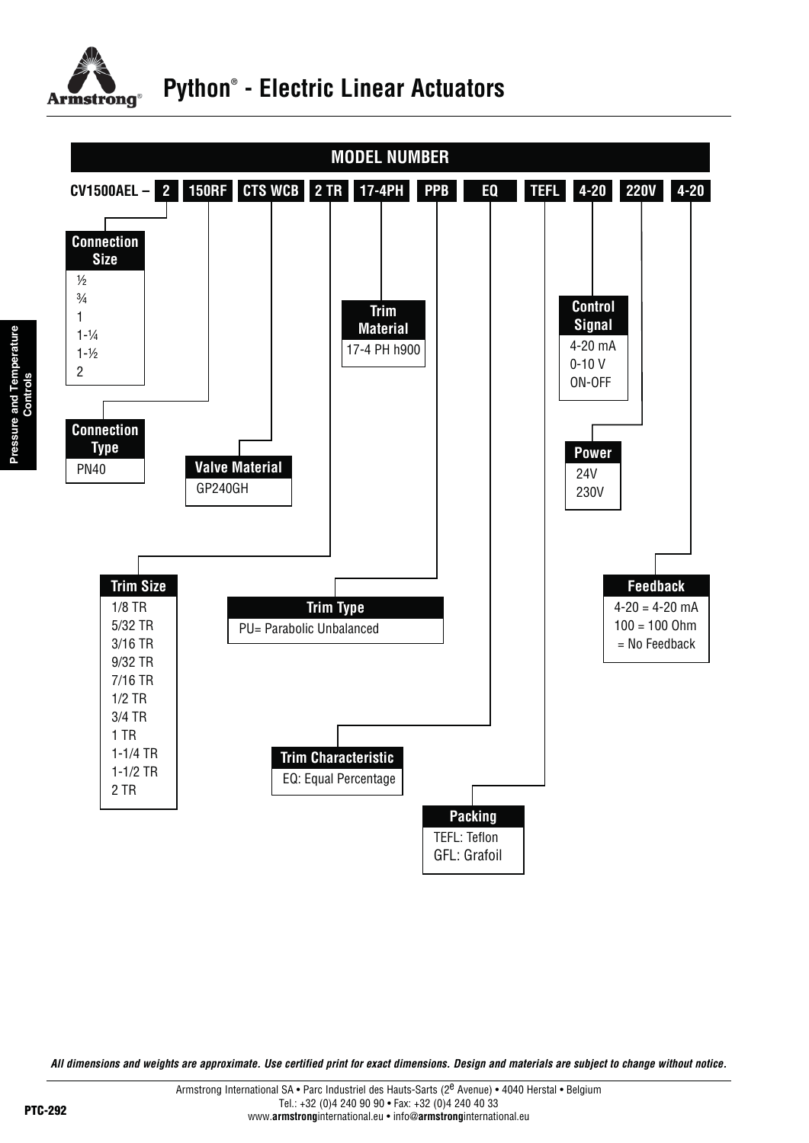